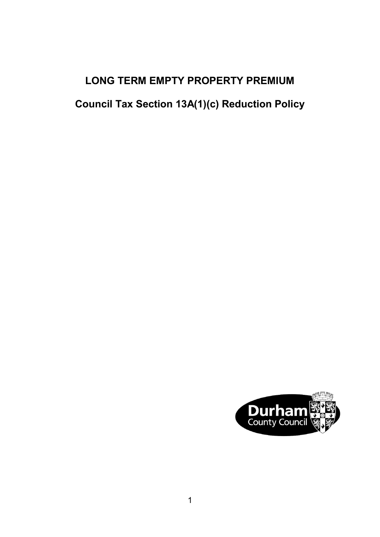# **LONG TERM EMPTY PROPERTY PREMIUM**

**Council Tax Section 13A(1)(c) Reduction Policy**

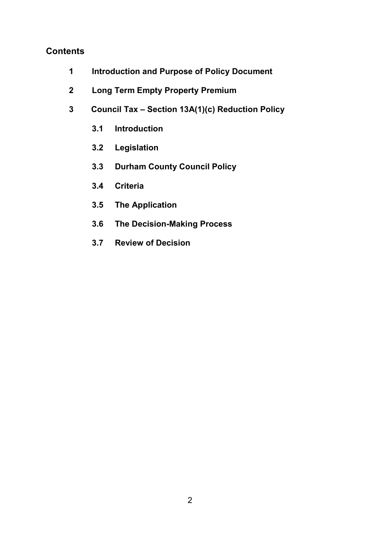## **Contents**

- **[1 Introduction and Purpose of Policy Document](#page-2-0)**
- **[2 Long Term Empty Property Premium](#page-2-0)**
- **[3 Council Tax Section 13A\(1\)\(c\) Reduction Policy](#page-3-0)**
	- **3.1 [Introduction](#page-3-0)**
	- **3.2 [Legislation](#page-3-0)**
	- **[3.3 Durham County Council Policy](#page-3-0)**
	- **3.4 [Criteria](#page-3-0)**
	- **[3.5 The Application](#page-4-0)**
	- **[3.6 The Decision-Making Process](#page-5-0)**
	- **[3.7 Review of Decision](#page-5-0)**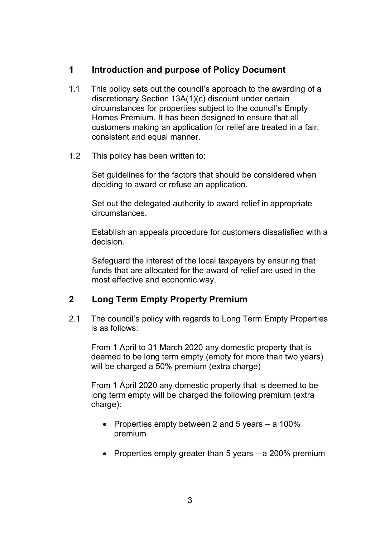## <span id="page-2-0"></span>**1 Introduction and purpose of Policy Document**

- 1.1 This policy sets out the council's approach to the awarding of a discretionary Section 13A(1)(c) discount under certain circumstances for properties subject to the council's Empty Homes Premium. It has been designed to ensure that all customers making an application for relief are treated in a fair, consistent and equal manner.
- 1.2 This policy has been written to:

Set guidelines for the factors that should be considered when deciding to award or refuse an application.

Set out the delegated authority to award relief in appropriate circumstances.

Establish an appeals procedure for customers dissatisfied with a decision.

Safeguard the interest of the local taxpayers by ensuring that funds that are allocated for the award of relief are used in the most effective and economic way.

# **2 Long Term Empty Property Premium**

2.1 The council's policy with regards to Long Term Empty Properties is as follows:

From 1 April to 31 March 2020 any domestic property that is deemed to be long term empty (empty for more than two years) will be charged a 50% premium (extra charge)

From 1 April 2020 any domestic property that is deemed to be long term empty will be charged the following premium (extra charge):

- Properties empty between 2 and 5 years a 100% premium
- Properties empty greater than 5 years a 200% premium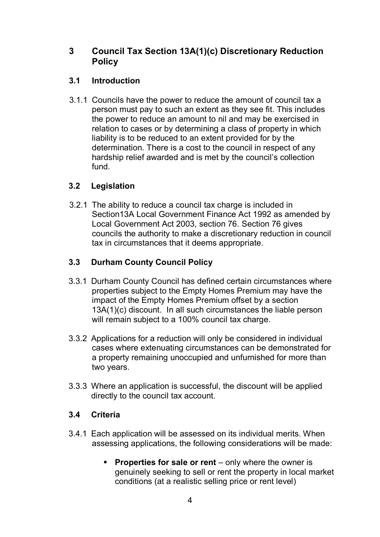## <span id="page-3-0"></span>**3 Council Tax Section 13A(1)(c) Discretionary Reduction Policy**

#### **3.1 Introduction**

3.1.1 Councils have the power to reduce the amount of council tax a person must pay to such an extent as they see fit. This includes the power to reduce an amount to nil and may be exercised in relation to cases or by determining a class of property in which liability is to be reduced to an extent provided for by the determination. There is a cost to the council in respect of any hardship relief awarded and is met by the council's collection fund.

#### **3.2 Legislation**

3.2.1 The ability to reduce a council tax charge is included in Section13A Local Government Finance Act 1992 as amended by Local Government Act 2003, section 76. Section 76 gives councils the authority to make a discretionary reduction in council tax in circumstances that it deems appropriate.

# **3.3 Durham County Council Policy**

- 3.3.1 Durham County Council has defined certain circumstances where properties subject to the Empty Homes Premium may have the impact of the Empty Homes Premium offset by a section 13A(1)(c) discount. In all such circumstances the liable person will remain subject to a 100% council tax charge.
- 3.3.2 Applications for a reduction will only be considered in individual cases where extenuating circumstances can be demonstrated for a property remaining unoccupied and unfurnished for more than two years.
- 3.3.3 Where an application is successful, the discount will be applied directly to the council tax account.

#### **3.4 Criteria**

- 3.4.1 Each application will be assessed on its individual merits. When assessing applications, the following considerations will be made:
	- **Properties for sale or rent** only where the owner is genuinely seeking to sell or rent the property in local market conditions (at a realistic selling price or rent level)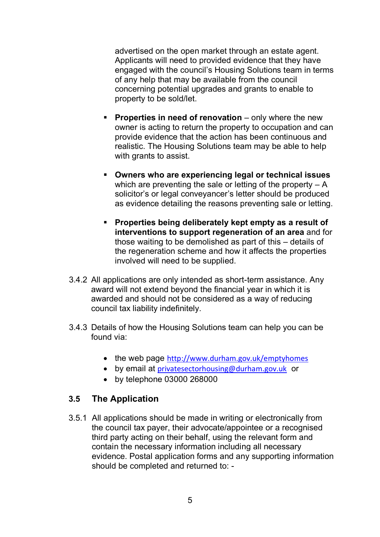<span id="page-4-0"></span>advertised on the open market through an estate agent. Applicants will need to provided evidence that they have engaged with the council's Housing Solutions team in terms of any help that may be available from the council concerning potential upgrades and grants to enable to property to be sold/let.

- **Properties in need of renovation** only where the new owner is acting to return the property to occupation and can provide evidence that the action has been continuous and realistic. The Housing Solutions team may be able to help with grants to assist.
- **Owners who are experiencing legal or technical issues** which are preventing the sale or letting of the property  $- A$ solicitor's or legal conveyancer's letter should be produced as evidence detailing the reasons preventing sale or letting.
- **Properties being deliberately kept empty as a result of interventions to support regeneration of an area** and for those waiting to be demolished as part of this – details of the regeneration scheme and how it affects the properties involved will need to be supplied.
- 3.4.2 All applications are only intended as short-term assistance. Any award will not extend beyond the financial year in which it is awarded and should not be considered as a way of reducing council tax liability indefinitely.
- 3.4.3 Details of how the Housing Solutions team can help you can be found via:
	- the web page <http://www.durham.gov.uk/emptyhomes>
	- by email at [privatesectorhousing@durham.gov.uk](mailto:privatesectorhousing@durham.gov.uk) or
	- by telephone 03000 268000

# **3.5 The Application**

3.5.1 All applications should be made in writing or electronically from the council tax payer, their advocate/appointee or a recognised third party acting on their behalf, using the relevant form and contain the necessary information including all necessary evidence. Postal application forms and any supporting information should be completed and returned to: -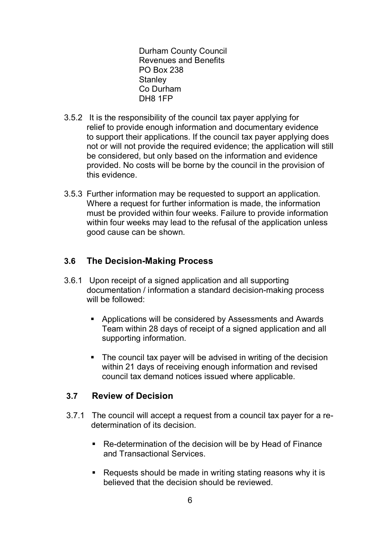Durham County Council Revenues and Benefits PO Box 238 **Stanley** Co Durham DH8 1FP

- <span id="page-5-0"></span>3.5.2 It is the responsibility of the council tax payer applying for relief to provide enough information and documentary evidence to support their applications. If the council tax payer applying does not or will not provide the required evidence; the application will still be considered, but only based on the information and evidence provided. No costs will be borne by the council in the provision of this evidence.
- 3.5.3 Further information may be requested to support an application. Where a request for further information is made, the information must be provided within four weeks. Failure to provide information within four weeks may lead to the refusal of the application unless good cause can be shown.

#### **3.6 The Decision-Making Process**

- 3.6.1 Upon receipt of a signed application and all supporting documentation / information a standard decision-making process will be followed:
	- Applications will be considered by Assessments and Awards Team within 28 days of receipt of a signed application and all supporting information.
	- The council tax payer will be advised in writing of the decision within 21 days of receiving enough information and revised council tax demand notices issued where applicable.

#### **3.7 Review of Decision**

- 3.7.1 The council will accept a request from a council tax payer for a redetermination of its decision.
	- Re-determination of the decision will be by Head of Finance and Transactional Services.
	- Requests should be made in writing stating reasons why it is believed that the decision should be reviewed.